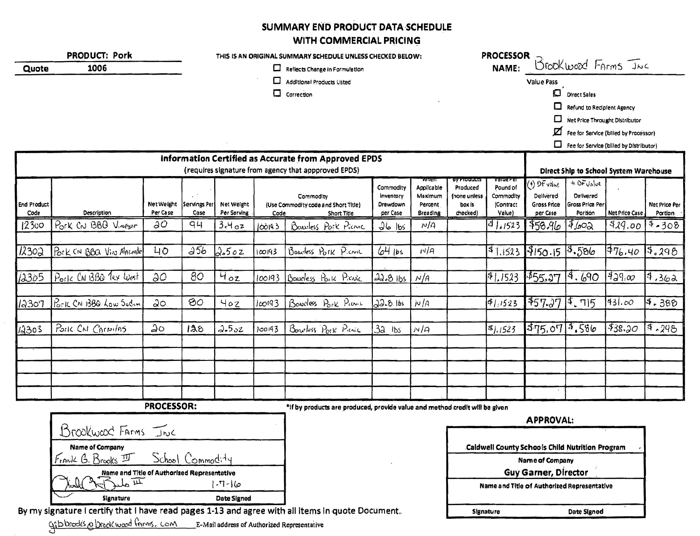## SUMMARY END PRODUCT DATA SCHEDULE WITH COMMERCIAL PRICING

|                            | <b>PRODUCT: Pork</b>    |                 |                       |                           |         | THIS IS AN ORIGINAL SUMMARY SCHEDULE UNLESS CHECKED BELOW:                                                   |                      |                     |                         | <b>PROCESSOR</b>    |                             |                                               |                       |                          |
|----------------------------|-------------------------|-----------------|-----------------------|---------------------------|---------|--------------------------------------------------------------------------------------------------------------|----------------------|---------------------|-------------------------|---------------------|-----------------------------|-----------------------------------------------|-----------------------|--------------------------|
| Quote                      | 1006                    |                 |                       |                           |         | Reflects Change in Formulation                                                                               |                      |                     |                         | NAME:               |                             | Brook wood Farms Juc                          |                       |                          |
|                            |                         |                 |                       |                           | □       | <b>Additional Products Listed</b>                                                                            |                      |                     |                         |                     | Value Pass                  |                                               |                       |                          |
|                            |                         |                 |                       |                           |         | $\Box$ Correction                                                                                            |                      |                     |                         |                     | $\Box$                      | <b>Direct Sales</b>                           |                       |                          |
|                            |                         |                 |                       |                           |         |                                                                                                              |                      |                     |                         |                     | ◘                           | <b>Refund to Redplent Agency</b>              |                       |                          |
|                            |                         |                 |                       |                           |         |                                                                                                              |                      |                     |                         |                     | □                           | Net Price Throught Distributor                |                       |                          |
|                            |                         |                 |                       |                           |         |                                                                                                              |                      |                     |                         |                     | ☑                           | Fee for Service (billed by Processor)         |                       |                          |
|                            |                         |                 |                       |                           |         |                                                                                                              |                      |                     |                         |                     | $\Box$                      | Fee for Service (billed by Distributor)       |                       |                          |
|                            |                         |                 |                       |                           |         | Information Certified as Accurate from Approved EPDS<br>(requires signature from agency that appproved EPDS) |                      |                     |                         |                     |                             | <b>Direct Ship to School System Warehouse</b> |                       |                          |
|                            |                         |                 |                       |                           |         |                                                                                                              | Commodity            | wnen<br>Applicable  | By Products<br>Produced | varuere<br>Pound of | (4) DF value                | $+$ $0$ $F$ $y_a$ $y_e$                       |                       |                          |
|                            |                         | Net Weight      |                       |                           |         | Commodity                                                                                                    | Inventory            | Maximum             | (none unless            | Commodity           | Delivered                   | Delivered<br>Gross Price Per                  |                       |                          |
| <b>End Product</b><br>Code | Description             | Per Case        | Servings Per<br>Case  | Net Weight<br>Per Serving | Code    | (Use Commodity code and Short Title)<br>Short Title                                                          | Drawdown<br>per Case | Percent<br>Breading | box is<br>checked)      | (Contract<br>Value) | Gross Price<br>per Case     | Portion                                       | <b>Net Price Case</b> | Net Price Per<br>Portion |
| 12300                      | Pork CN BBB Vinegar     | $\partial^2$    | 94                    | 3.4a                      | 100193  | Bowless Pork Picture                                                                                         | $J6$ lbs             | N/A                 |                         | 31,1523             | \$58.96                     | $4\mu$ 02                                     | 9,00                  | $9 - 308$                |
|                            |                         |                 |                       |                           |         |                                                                                                              |                      |                     |                         |                     |                             |                                               |                       |                          |
| 12302                      | Pork CN BBQ Viv MARMORE | 40 <sub>o</sub> | $\overline{\omega$ 56 | 2.502                     | ico 193 | Boardess Pork Picnic                                                                                         | $64$ lbs             | N/A                 |                         |                     | $31.1523$ $3150.15$ $3.586$ |                                               | 76.40                 | 5.298                    |
|                            |                         |                 |                       |                           |         |                                                                                                              |                      |                     |                         |                     |                             |                                               |                       |                          |
| 12305                      | Ports CN 13BQ Tex West  | $\partial O$    | 80                    | $H_{oz}$                  | 100193  | Boweless Pork Provic                                                                                         | 22.8 1bs             | N/A                 |                         | 91,1523             | \$55.27                     | 19.690                                        | 429.00                | 14.362                   |
|                            |                         |                 |                       |                           |         |                                                                                                              |                      |                     |                         |                     |                             |                                               |                       |                          |
| 12307                      | Pork CAI 13BO Low Sedin | ಎಂ              | 80 <sub>o</sub>       | 40z                       | 100193  | Bonocless Pork Primit                                                                                        | 22.8.165             | N/A                 |                         | 51,1523             | 457.2711.715                |                                               | 431.00                | 4.380                    |
|                            |                         |                 |                       |                           |         |                                                                                                              |                      |                     |                         |                     |                             |                                               |                       |                          |
| 12303                      | POILL CAI CARNIAS       | $\Delta$ 0      | 128                   | 2.502                     | 100193  | Boneloss Pork Pienic                                                                                         | $3a$ <i>Ibs</i>      | N/Q                 |                         | $s)$ , 1523         | 375.0713.586                |                                               | \$38.20               | 9.298                    |
|                            |                         |                 |                       |                           |         |                                                                                                              |                      |                     |                         |                     |                             |                                               |                       |                          |
|                            |                         |                 |                       |                           |         |                                                                                                              |                      |                     |                         |                     |                             |                                               |                       |                          |
|                            |                         |                 |                       |                           |         |                                                                                                              |                      |                     |                         |                     |                             |                                               |                       |                          |
|                            |                         |                 |                       |                           |         |                                                                                                              |                      |                     |                         |                     |                             |                                               |                       |                          |
|                            |                         |                 |                       |                           |         |                                                                                                              |                      |                     |                         |                     |                             |                                               |                       |                          |

PROCESSOR:

\*If by products are produced, provide value and method credit will be given

| Signature              | Date Signed                                 |
|------------------------|---------------------------------------------|
|                        | $1 - 7 - 16$                                |
|                        | Name and Title of Authorized Representative |
| Frank G. Brooks II     | School Commodity                            |
| <b>Name of Company</b> |                                             |
| Brookward Farms Inc    |                                             |

By my signature I certify that I have read pages 1-13 and agree with all items in quote Document.

gibbrooks a break wood forms. Com E-Mail address of Authorized Representative

| <b>APPROVAL:</b>                                       |             |  |  |  |  |  |  |
|--------------------------------------------------------|-------------|--|--|--|--|--|--|
| <b>Caldwell County Schools Child Nutrition Program</b> |             |  |  |  |  |  |  |
| Name of Company                                        |             |  |  |  |  |  |  |
| <b>Guy Garner, Director</b>                            |             |  |  |  |  |  |  |
| Name and Title of Authorized Representative            |             |  |  |  |  |  |  |
| Signature                                              | Date Signed |  |  |  |  |  |  |